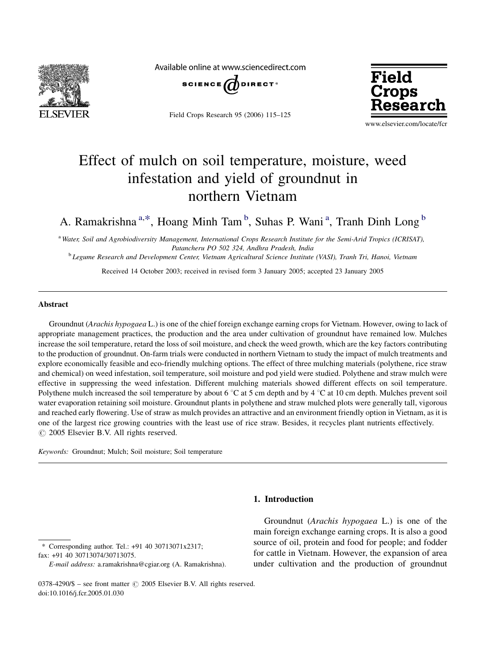

Available online at www.sciencedirect.com



Field Crops Research 95 (2006) 115–125



www.elsevier.com/locate/fc

# Effect of mulch on soil temperature, moisture, weed infestation and yield of groundnut in northern Vietnam

A. Ramakrishna<sup>a,\*</sup>, Hoang Minh Tam<sup>b</sup>, Suhas P. Wani<sup>a</sup>, Tranh Dinh Long<sup>b</sup>

a Water, Soil and Agrobiodiversity Management, International Crops Research Institute for the Semi-Arid Tropics (ICRISAT), Patancheru PO 502 324, Andhra Pradesh, India

<sup>b</sup> Legume Research and Development Center, Vietnam Agricultural Science Institute (VASI), Tranh Tri, Hanoi, Vietnam

Received 14 October 2003; received in revised form 3 January 2005; accepted 23 January 2005

#### Abstract

Groundnut (Arachis hypogaea L.) is one of the chief foreign exchange earning crops for Vietnam. However, owing to lack of appropriate management practices, the production and the area under cultivation of groundnut have remained low. Mulches increase the soil temperature, retard the loss of soil moisture, and check the weed growth, which are the key factors contributing to the production of groundnut. On-farm trials were conducted in northern Vietnam to study the impact of mulch treatments and explore economically feasible and eco-friendly mulching options. The effect of three mulching materials (polythene, rice straw and chemical) on weed infestation, soil temperature, soil moisture and pod yield were studied. Polythene and straw mulch were effective in suppressing the weed infestation. Different mulching materials showed different effects on soil temperature. Polythene mulch increased the soil temperature by about 6  $^{\circ}$ C at 5 cm depth and by 4  $^{\circ}$ C at 10 cm depth. Mulches prevent soil water evaporation retaining soil moisture. Groundnut plants in polythene and straw mulched plots were generally tall, vigorous and reached early flowering. Use of straw as mulch provides an attractive and an environment friendly option in Vietnam, as it is one of the largest rice growing countries with the least use of rice straw. Besides, it recycles plant nutrients effectively.  $\odot$  2005 Elsevier B.V. All rights reserved.

Keywords: Groundnut; Mulch; Soil moisture; Soil temperature

# 1. Introduction

\* Corresponding author. Tel.: +91 40 30713071x2317; fax: +91 40 30713074/30713075.

E-mail address: a.ramakrishna@cgiar.org (A. Ramakrishna).

Groundnut (Arachis hypogaea L.) is one of the main foreign exchange earning crops. It is also a good source of oil, protein and food for people; and fodder for cattle in Vietnam. However, the expansion of area under cultivation and the production of groundnut

<sup>0378-4290/\$ -</sup> see front matter © 2005 Elsevier B.V. All rights reserved. doi:10.1016/j.fcr.2005.01.030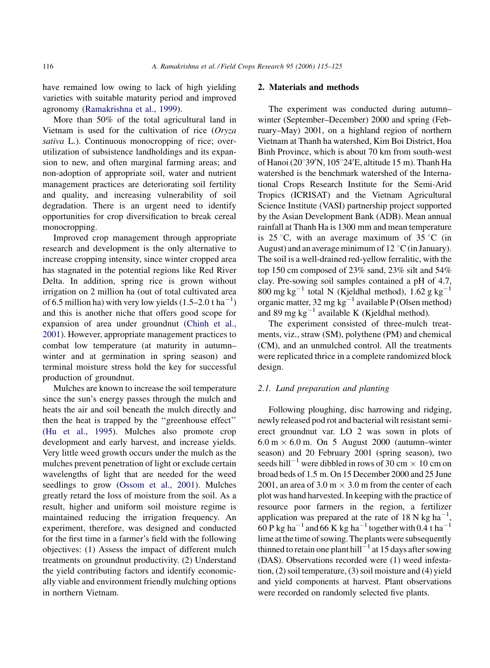have remained low owing to lack of high yielding varieties with suitable maturity period and improved agronomy ([Ramakrishna et al., 1999\)](#page-10-0).

More than 50% of the total agricultural land in Vietnam is used for the cultivation of rice  $(Oryza)$ sativa L.). Continuous monocropping of rice; overutilization of subsistence landholdings and its expansion to new, and often marginal farming areas; and non-adoption of appropriate soil, water and nutrient management practices are deteriorating soil fertility and quality, and increasing vulnerability of soil degradation. There is an urgent need to identify opportunities for crop diversification to break cereal monocropping.

Improved crop management through appropriate research and development is the only alternative to increase cropping intensity, since winter cropped area has stagnated in the potential regions like Red River Delta. In addition, spring rice is grown without irrigation on 2 million ha (out of total cultivated area of 6.5 million ha) with very low yields  $(1.5-2.0 \text{ t ha}^{-1})$ and this is another niche that offers good scope for expansion of area under groundnut ([Chinh et al.,](#page-9-0) [2001](#page-9-0)). However, appropriate management practices to combat low temperature (at maturity in autumn– winter and at germination in spring season) and terminal moisture stress hold the key for successful production of groundnut.

Mulches are known to increase the soil temperature since the sun's energy passes through the mulch and heats the air and soil beneath the mulch directly and then the heat is trapped by the ''greenhouse effect'' ([Hu et al., 1995](#page-10-0)). Mulches also promote crop development and early harvest, and increase yields. Very little weed growth occurs under the mulch as the mulches prevent penetration of light or exclude certain wavelengths of light that are needed for the weed seedlings to grow ([Ossom et al., 2001\)](#page-10-0). Mulches greatly retard the loss of moisture from the soil. As a result, higher and uniform soil moisture regime is maintained reducing the irrigation frequency. An experiment, therefore, was designed and conducted for the first time in a farmer's field with the following objectives: (1) Assess the impact of different mulch treatments on groundnut productivity. (2) Understand the yield contributing factors and identify economically viable and environment friendly mulching options in northern Vietnam.

# 2. Materials and methods

The experiment was conducted during autumn– winter (September–December) 2000 and spring (February–May) 2001, on a highland region of northern Vietnam at Thanh ha watershed, Kim Boi District, Hoa Binh Province, which is about 70 km from south-west of Hanoi (20 $\degree$ 39'N, 105 $\degree$ 24'E, altitude 15 m). Thanh Ha watershed is the benchmark watershed of the International Crops Research Institute for the Semi-Arid Tropics (ICRISAT) and the Vietnam Agricultural Science Institute (VASI) partnership project supported by the Asian Development Bank (ADB). Mean annual rainfall at Thanh Ha is 1300 mm and mean temperature is 25 °C, with an average maximum of 35 °C (in August) and an average minimum of 12  $\mathrm{^{\circ}C}$  (in January). The soil is a well-drained red-yellow ferralitic, with the top 150 cm composed of 23% sand, 23% silt and 54% clay. Pre-sowing soil samples contained a pH of 4.7, 800 mg kg<sup>-1</sup> total N (Kjeldhal method), 1.62 g kg<sup>-1</sup> organic matter, 32 mg  $kg^{-1}$  available P (Olsen method) and 89 mg kg<sup>-1</sup> available K (Kjeldhal method).

The experiment consisted of three-mulch treatments, viz., straw (SM), polythene (PM) and chemical (CM), and an unmulched control. All the treatments were replicated thrice in a complete randomized block design.

### 2.1. Land preparation and planting

Following ploughing, disc harrowing and ridging, newly released pod rot and bacterial wilt resistant semierect groundnut var. LO 2 was sown in plots of  $6.0 \text{ m} \times 6.0 \text{ m}$ . On 5 August 2000 (autumn–winter season) and 20 February 2001 (spring season), two seeds hill<sup>-1</sup> were dibbled in rows of 30 cm  $\times$  10 cm on broad beds of 1.5 m. On 15 December 2000 and 25 June 2001, an area of 3.0 m  $\times$  3.0 m from the center of each plot was hand harvested. In keeping with the practice of resource poor farmers in the region, a fertilizer application was prepared at the rate of 18 N kg ha<sup>-1</sup>,  $60$  P kg ha<sup>-1</sup> and  $66$  K kg ha<sup>-1</sup> together with 0.4 t ha<sup>-1</sup> lime at the time of sowing. The plants were subsequently thinned to retain one plant hill<sup> $-1$ </sup> at 15 days after sowing (DAS). Observations recorded were (1) weed infestation, (2) soil temperature, (3) soil moisture and (4) yield and yield components at harvest. Plant observations were recorded on randomly selected five plants.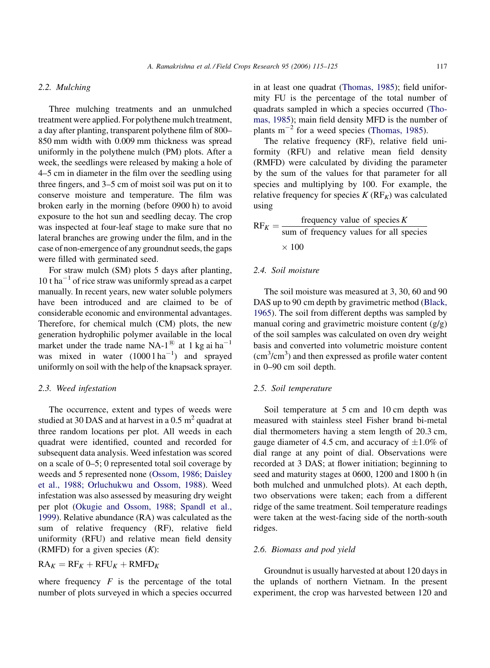#### A. Ramakrishna et al. / Field Crops Research 95 (2006) 115–125 117

# 2.2. Mulching

Three mulching treatments and an unmulched treatment were applied. For polythene mulch treatment, a day after planting, transparent polythene film of 800– 850 mm width with 0.009 mm thickness was spread uniformly in the polythene mulch (PM) plots. After a week, the seedlings were released by making a hole of 4–5 cm in diameter in the film over the seedling using three fingers, and 3–5 cm of moist soil was put on it to conserve moisture and temperature. The film was broken early in the morning (before 0900 h) to avoid exposure to the hot sun and seedling decay. The crop was inspected at four-leaf stage to make sure that no lateral branches are growing under the film, and in the case of non-emergence of any groundnut seeds, the gaps were filled with germinated seed.

For straw mulch (SM) plots 5 days after planting, 10 t ha<sup> $-1$ </sup> of rice straw was uniformly spread as a carpet manually. In recent years, new water soluble polymers have been introduced and are claimed to be of considerable economic and environmental advantages. Therefore, for chemical mulch (CM) plots, the new generation hydrophilic polymer available in the local market under the trade name NA-1<sup>®</sup> at 1 kg ai ha<sup>-1</sup> was mixed in water  $(10001 \text{ ha}^{-1})$  and sprayed uniformly on soil with the help of the knapsack sprayer.

# 2.3. Weed infestation

The occurrence, extent and types of weeds were studied at 30 DAS and at harvest in a  $0.5 \text{ m}^2$  quadrat at three random locations per plot. All weeds in each quadrat were identified, counted and recorded for subsequent data analysis. Weed infestation was scored on a scale of 0–5; 0 represented total soil coverage by weeds and 5 represented none [\(Ossom, 1986; Daisley](#page-10-0) [et al., 1988; Orluchukwu and Ossom, 1988\)](#page-10-0). Weed infestation was also assessed by measuring dry weight per plot [\(Okugie and Ossom, 1988; Spandl et al.,](#page-10-0) [1999](#page-10-0)). Relative abundance (RA) was calculated as the sum of relative frequency (RF), relative field uniformity (RFU) and relative mean field density (RMFD) for a given species  $(K)$ :

$$
RA_K = RF_K + RFU_K + RMFD_K
$$

where frequency  $F$  is the percentage of the total number of plots surveyed in which a species occurred in at least one quadrat [\(Thomas, 1985](#page-10-0)); field uniformity FU is the percentage of the total number of quadrats sampled in which a species occurred [\(Tho](#page-10-0)[mas, 1985\)](#page-10-0); main field density MFD is the number of plants  $m^{-2}$  for a weed species [\(Thomas, 1985](#page-10-0)).

The relative frequency (RF), relative field uniformity (RFU) and relative mean field density (RMFD) were calculated by dividing the parameter by the sum of the values for that parameter for all species and multiplying by 100. For example, the relative frequency for species  $K(RF_K)$  was calculated using

$$
RF_K = \frac{\text{frequency value of species } K}{\text{sum of frequency values for all species}}
$$
  
× 100

# 2.4. Soil moisture

The soil moisture was measured at 3, 30, 60 and 90 DAS up to 90 cm depth by gravimetric method ([Black,](#page-9-0) [1965\)](#page-9-0). The soil from different depths was sampled by manual coring and gravimetric moisture content (g/g) of the soil samples was calculated on oven dry weight basis and converted into volumetric moisture content  $(cm<sup>3</sup>/cm<sup>3</sup>)$  and then expressed as profile water content in 0–90 cm soil depth.

#### 2.5. Soil temperature

Soil temperature at 5 cm and 10 cm depth was measured with stainless steel Fisher brand bi-metal dial thermometers having a stem length of 20.3 cm, gauge diameter of 4.5 cm, and accuracy of  $\pm 1.0\%$  of dial range at any point of dial. Observations were recorded at 3 DAS; at flower initiation; beginning to seed and maturity stages at 0600, 1200 and 1800 h (in both mulched and unmulched plots). At each depth, two observations were taken; each from a different ridge of the same treatment. Soil temperature readings were taken at the west-facing side of the north-south ridges.

### 2.6. Biomass and pod yield

Groundnut is usually harvested at about 120 days in the uplands of northern Vietnam. In the present experiment, the crop was harvested between 120 and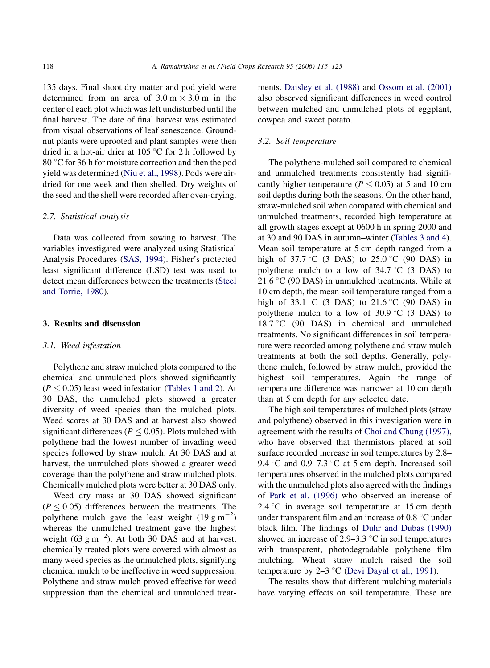135 days. Final shoot dry matter and pod yield were determined from an area of  $3.0 \text{ m} \times 3.0 \text{ m}$  in the center of each plot which was left undisturbed until the final harvest. The date of final harvest was estimated from visual observations of leaf senescence. Groundnut plants were uprooted and plant samples were then dried in a hot-air drier at 105  $\degree$ C for 2 h followed by 80 °C for 36 h for moisture correction and then the pod yield was determined ([Niu et al., 1998](#page-10-0)). Pods were airdried for one week and then shelled. Dry weights of the seed and the shell were recorded after oven-drying.

#### 2.7. Statistical analysis

Data was collected from sowing to harvest. The variables investigated were analyzed using Statistical Analysis Procedures ([SAS, 1994](#page-10-0)). Fisher's protected least significant difference (LSD) test was used to detect mean differences between the treatments ([Steel](#page-10-0) [and Torrie, 1980](#page-10-0)).

## 3. Results and discussion

## 3.1. Weed infestation

Polythene and straw mulched plots compared to the chemical and unmulched plots showed significantly  $(P \le 0.05)$  least weed infestation ([Tables 1 and 2](#page-4-0)). At 30 DAS, the unmulched plots showed a greater diversity of weed species than the mulched plots. Weed scores at 30 DAS and at harvest also showed significant differences ( $P \leq 0.05$ ). Plots mulched with polythene had the lowest number of invading weed species followed by straw mulch. At 30 DAS and at harvest, the unmulched plots showed a greater weed coverage than the polythene and straw mulched plots. Chemically mulched plots were better at 30 DAS only.

Weed dry mass at 30 DAS showed significant  $(P \leq 0.05)$  differences between the treatments. The polythene mulch gave the least weight  $(19 \text{ g m}^{-2})$ whereas the unmulched treatment gave the highest weight (63  $\text{g m}^{-2}$ ). At both 30 DAS and at harvest, chemically treated plots were covered with almost as many weed species as the unmulched plots, signifying chemical mulch to be ineffective in weed suppression. Polythene and straw mulch proved effective for weed suppression than the chemical and unmulched treatments. [Daisley et al. \(1988\)](#page-10-0) and [Ossom et al. \(2001\)](#page-10-0) also observed significant differences in weed control between mulched and unmulched plots of eggplant, cowpea and sweet potato.

#### 3.2. Soil temperature

The polythene-mulched soil compared to chemical and unmulched treatments consistently had significantly higher temperature ( $P \le 0.05$ ) at 5 and 10 cm soil depths during both the seasons. On the other hand, straw-mulched soil when compared with chemical and unmulched treatments, recorded high temperature at all growth stages except at 0600 h in spring 2000 and at 30 and 90 DAS in autumn–winter ([Tables 3 and 4\)](#page-6-0). Mean soil temperature at 5 cm depth ranged from a high of 37.7 °C (3 DAS) to 25.0 °C (90 DAS) in polythene mulch to a low of  $34.7 \degree$ C (3 DAS) to 21.6  $\degree$ C (90 DAS) in unmulched treatments. While at 10 cm depth, the mean soil temperature ranged from a high of 33.1 °C (3 DAS) to 21.6 °C (90 DAS) in polythene mulch to a low of  $30.9 \degree C$  (3 DAS) to  $18.7 \degree$ C (90 DAS) in chemical and unmulched treatments. No significant differences in soil temperature were recorded among polythene and straw mulch treatments at both the soil depths. Generally, polythene mulch, followed by straw mulch, provided the highest soil temperatures. Again the range of temperature difference was narrower at 10 cm depth than at 5 cm depth for any selected date.

The high soil temperatures of mulched plots (straw and polythene) observed in this investigation were in agreement with the results of [Choi and Chung \(1997\)](#page-10-0), who have observed that thermistors placed at soil surface recorded increase in soil temperatures by 2.8– 9.4 °C and 0.9–7.3 °C at 5 cm depth. Increased soil temperatures observed in the mulched plots compared with the unmulched plots also agreed with the findings of [Park et al. \(1996\)](#page-10-0) who observed an increase of 2.4  $\degree$ C in average soil temperature at 15 cm depth under transparent film and an increase of  $0.8\degree C$  under black film. The findings of [Duhr and Dubas \(1990\)](#page-10-0) showed an increase of 2.9–3.3  $\degree$ C in soil temperatures with transparent, photodegradable polythene film mulching. Wheat straw mulch raised the soil temperature by  $2-3$  °C ([Devi Dayal et al., 1991\)](#page-10-0).

The results show that different mulching materials have varying effects on soil temperature. These are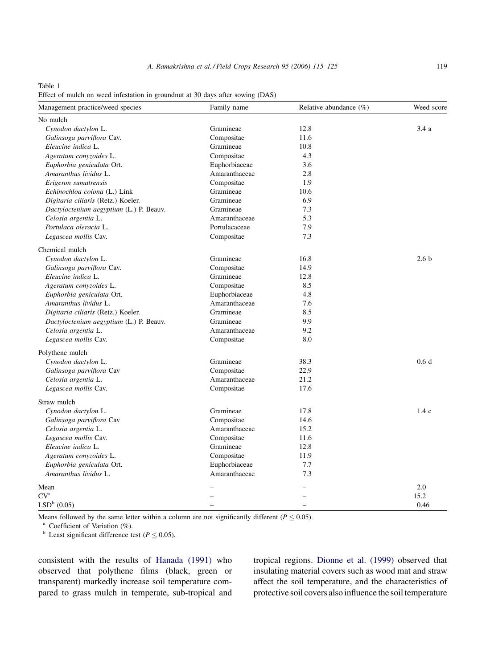<span id="page-4-0"></span>Table 1 Effect of mulch on weed infestation in groundnut at 30 days after sowing (DAS)

| Management practice/weed species        | Family name   | Relative abundance $(\%)$ | Weed score       |
|-----------------------------------------|---------------|---------------------------|------------------|
| No mulch                                |               |                           |                  |
| Cynodon dactylon L.                     | Gramineae     | 12.8                      | 3.4a             |
| Galinsoga parviflora Cav.               | Compositae    | 11.6                      |                  |
| Eleucine indica L.                      | Gramineae     | 10.8                      |                  |
| Ageratum conyzoides L.                  | Compositae    | 4.3                       |                  |
| Euphorbia geniculata Ort.               | Euphorbiaceae | 3.6                       |                  |
| Amaranthus lividus L.                   | Amaranthaceae | 2.8                       |                  |
| Erigeron sumatrensis                    | Compositae    | 1.9                       |                  |
| Echinochloa colona (L.) Link            | Gramineae     | 10.6                      |                  |
| Digitaria ciliaris (Retz.) Koeler.      | Gramineae     | 6.9                       |                  |
| Dactyloctenium aegyptium (L.) P. Beauv. | Gramineae     | 7.3                       |                  |
| Celosia argentia L.                     | Amaranthaceae | 5.3                       |                  |
| Portulaca oleracia L.                   | Portulacaceae | 7.9                       |                  |
| Legascea mollis Cav.                    | Compositae    | 7.3                       |                  |
| Chemical mulch                          |               |                           |                  |
| Cynodon dactylon L.                     | Gramineae     | 16.8                      | 2.6 <sub>b</sub> |
| Galinsoga parviflora Cav.               | Compositae    | 14.9                      |                  |
| Eleucine indica L.                      | Gramineae     | 12.8                      |                  |
| Ageratum conyzoides L.                  | Compositae    | 8.5                       |                  |
| Euphorbia geniculata Ort.               | Euphorbiaceae | 4.8                       |                  |
| Amaranthus lividus L.                   | Amaranthaceae | 7.6                       |                  |
| Digitaria ciliaris (Retz.) Koeler.      | Gramineae     | 8.5                       |                  |
| Dactyloctenium aegyptium (L.) P. Beauv. | Gramineae     | 9.9                       |                  |
| Celosia argentia L.                     | Amaranthaceae | 9.2                       |                  |
| Legascea mollis Cav.                    | Compositae    | 8.0                       |                  |
| Polythene mulch                         |               |                           |                  |
| Cynodon dactylon L.                     | Gramineae     | 38.3                      | 0.6d             |
| Galinsoga parviflora Cav                | Compositae    | 22.9                      |                  |
| Celosia argentia L.                     | Amaranthaceae | 21.2                      |                  |
| Legascea mollis Cav.                    | Compositae    | 17.6                      |                  |
| Straw mulch                             |               |                           |                  |
| Cynodon dactylon L.                     | Gramineae     | 17.8                      | 1.4c             |
| Galinsoga parviflora Cav                | Compositae    | 14.6                      |                  |
| Celosia argentia L.                     | Amaranthaceae | 15.2                      |                  |
| Legascea mollis Cav.                    | Compositae    | 11.6                      |                  |
| Eleucine indica L.                      | Gramineae     | 12.8                      |                  |
| Ageratum conyzoides L.                  | Compositae    | 11.9                      |                  |
| Euphorbia geniculata Ort.               | Euphorbiaceae | 7.7                       |                  |
| Amaranthus lividus L.                   | Amaranthaceae | 7.3                       |                  |
| Mean                                    |               |                           | 2.0              |
| CV <sup>a</sup>                         |               | $\overline{\phantom{0}}$  | 15.2             |
| $LSDb$ (0.05)                           |               |                           | 0.46             |

Means followed by the same letter within a column are not significantly different ( $P \le 0.05$ ).<br><sup>a</sup> Coefficient of Variation (%).<br>b Least significant difference test ( $P \le 0.05$ ).

consistent with the results of [Hanada \(1991\)](#page-10-0) who observed that polythene films (black, green or transparent) markedly increase soil temperature compared to grass mulch in temperate, sub-tropical and tropical regions. [Dionne et al. \(1999\)](#page-10-0) observed that insulating material covers such as wood mat and straw affect the soil temperature, and the characteristics of protective soil covers also influence the soil temperature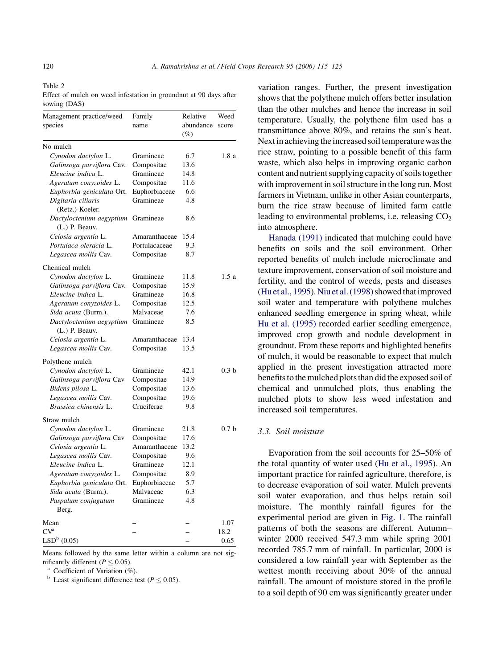Table 2

Effect of mulch on weed infestation in groundnut at 90 days after sowing (DAS)

| Management practice/weed<br>species        | Family<br>name | Relative<br>abundance | Weed<br>score    |
|--------------------------------------------|----------------|-----------------------|------------------|
|                                            |                | $(\%)$                |                  |
| No mulch                                   |                |                       |                  |
| Cynodon dactylon L.                        | Gramineae      | 6.7                   | 1.8a             |
| Galinsoga parviflora Cav.                  | Compositae     | 13.6                  |                  |
| Eleucine indica L.                         | Gramineae      | 14.8                  |                  |
| Ageratum convzoides L.                     | Compositae     | 11.6                  |                  |
| Euphorbia geniculata Ort.                  | Euphorbiaceae  | 6.6                   |                  |
| Digitaria ciliaris<br>(Retz.) Koeler.      | Gramineae      | 4.8                   |                  |
| Dactyloctenium aegyptium<br>(L.) P. Beauv. | Gramineae      | 8.6                   |                  |
| Celosia argentia L.                        | Amaranthaceae  | 15.4                  |                  |
| Portulaca oleracia L.                      | Portulacaceae  | 9.3                   |                  |
| Legascea mollis Cav.                       | Compositae     | 8.7                   |                  |
| Chemical mulch                             |                |                       |                  |
| Cynodon dactylon L.                        | Gramineae      | 11.8                  | 1.5a             |
| Galinsoga parviflora Cav.                  | Compositae     | 15.9                  |                  |
| Eleucine indica L.                         | Gramineae      | 16.8                  |                  |
| Ageratum conyzoides L.                     | Compositae     | 12.5                  |                  |
| Sida acuta (Burm.).                        | Malvaceae      | 7.6                   |                  |
| Dactyloctenium aegyptium<br>(L.) P. Beauv. | Gramineae      | 8.5                   |                  |
| Celosia argentia L.                        | Amaranthaceae  | 13.4                  |                  |
| Legascea mollis Cav.                       | Compositae     | 13.5                  |                  |
| Polythene mulch                            |                |                       |                  |
| Cynodon dactylon L.                        | Gramineae      | 42.1                  | 0.3 <sub>b</sub> |
| Galinsoga parviflora Cav                   | Compositae     | 14.9                  |                  |
| Bidens pilosa L.                           | Compositae     | 13.6                  |                  |
| Legascea mollis Cav.                       | Compositae     | 19.6                  |                  |
| Brassica chinensis L.                      | Cruciferae     | 9.8                   |                  |
| Straw mulch                                |                |                       |                  |
| Cynodon dactylon L.                        | Gramineae      | 21.8                  | 0.7 <sub>b</sub> |
| Galinsoga parviflora Cav                   | Compositae     | 17.6                  |                  |
| Celosia argentia L.                        | Amaranthaceae  | 13.2                  |                  |
| Legascea mollis Cav.                       | Compositae     | 9.6                   |                  |
| Eleucine indica L.                         | Gramineae      | 12.1                  |                  |
| Ageratum conyzoides L.                     | Compositae     | 8.9                   |                  |
| Euphorbia geniculata Ort.                  | Euphorbiaceae  | 5.7                   |                  |
| Sida acuta (Burm.).                        | Malvaceae      | 6.3                   |                  |
| Paspalum conjugatum                        | Gramineae      | 4.8                   |                  |
| Berg.                                      |                |                       |                  |
| Mean                                       |                |                       | 1.07             |
| CV <sup>a</sup>                            |                |                       | 18.2             |
| $LSDb$ (0.05)                              |                |                       | 0.65             |

Means followed by the same letter within a column are not significantly different ( $P \le 0.05$ ).<br><sup>a</sup> Coefficient of Variation (%).<br><sup>b</sup> Least significant difference test ( $P \le 0.05$ ).

variation ranges. Further, the present investigation shows that the polythene mulch offers better insulation than the other mulches and hence the increase in soil temperature. Usually, the polythene film used has a transmittance above 80%, and retains the sun's heat. Next in achieving the increased soil temperature was the rice straw, pointing to a possible benefit of this farm waste, which also helps in improving organic carbon content and nutrient supplying capacity of soils together with improvement in soil structure in the long run. Most farmers in Vietnam, unlike in other Asian counterparts, burn the rice straw because of limited farm cattle leading to environmental problems, i.e. releasing  $CO<sub>2</sub>$ into atmosphere.

[Hanada \(1991\)](#page-10-0) indicated that mulching could have benefits on soils and the soil environment. Other reported benefits of mulch include microclimate and texture improvement, conservation of soil moisture and fertility, and the control of weeds, pests and diseases ([Hu et al., 1995](#page-10-0)). Niu et al.  $(1998)$  showed that improved soil water and temperature with polythene mulches enhanced seedling emergence in spring wheat, while [Hu et al. \(1995\)](#page-10-0) recorded earlier seedling emergence, improved crop growth and nodule development in groundnut. From these reports and highlighted benefits of mulch, it would be reasonable to expect that mulch applied in the present investigation attracted more benefits to the mulched plots than did the exposed soil of chemical and unmulched plots, thus enabling the mulched plots to show less weed infestation and increased soil temperatures.

#### 3.3. Soil moisture

Evaporation from the soil accounts for 25–50% of the total quantity of water used ([Hu et al., 1995\)](#page-10-0). An important practice for rainfed agriculture, therefore, is to decrease evaporation of soil water. Mulch prevents soil water evaporation, and thus helps retain soil moisture. The monthly rainfall figures for the experimental period are given in [Fig. 1.](#page-7-0) The rainfall patterns of both the seasons are different. Autumn– winter 2000 received 547.3 mm while spring 2001 recorded 785.7 mm of rainfall. In particular, 2000 is considered a low rainfall year with September as the wettest month receiving about 30% of the annual rainfall. The amount of moisture stored in the profile to a soil depth of 90 cm was significantly greater under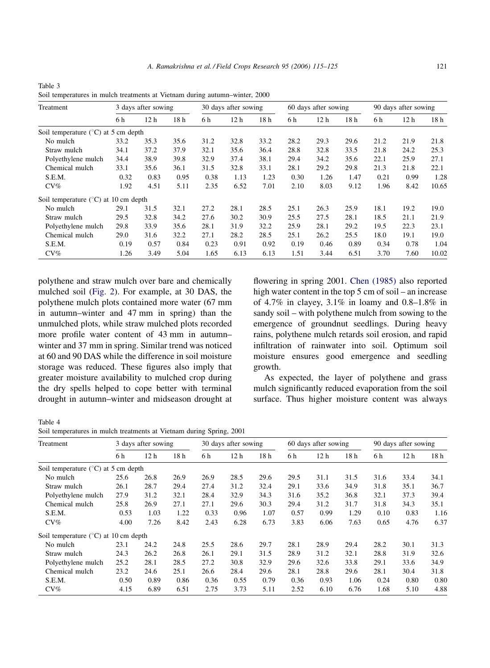| Treatment                                     | 3 days after sowing |                 |                 | 30 days after sowing |                 |                 | 60 days after sowing |                 |                 | 90 days after sowing |                 |       |
|-----------------------------------------------|---------------------|-----------------|-----------------|----------------------|-----------------|-----------------|----------------------|-----------------|-----------------|----------------------|-----------------|-------|
|                                               | 6 h                 | 12 <sub>h</sub> | 18 <sub>h</sub> | 6 h                  | 12 <sub>h</sub> | 18 <sub>h</sub> | 6 h                  | 12 <sub>h</sub> | 18 <sub>h</sub> | 6 h                  | 12 <sub>h</sub> | 18 h  |
| Soil temperature $(^{\circ}C)$ at 5 cm depth  |                     |                 |                 |                      |                 |                 |                      |                 |                 |                      |                 |       |
| No mulch                                      | 33.2                | 35.3            | 35.6            | 31.2                 | 32.8            | 33.2            | 28.2                 | 29.3            | 29.6            | 21.2                 | 21.9            | 21.8  |
| Straw mulch                                   | 34.1                | 37.2            | 37.9            | 32.1                 | 35.6            | 36.4            | 28.8                 | 32.8            | 33.5            | 21.8                 | 24.2            | 25.3  |
| Polyethylene mulch                            | 34.4                | 38.9            | 39.8            | 32.9                 | 37.4            | 38.1            | 29.4                 | 34.2            | 35.6            | 22.1                 | 25.9            | 27.1  |
| Chemical mulch                                | 33.1                | 35.6            | 36.1            | 31.5                 | 32.8            | 33.1            | 28.1                 | 29.2            | 29.8            | 21.3                 | 21.8            | 22.1  |
| S.E.M.                                        | 0.32                | 0.83            | 0.95            | 0.38                 | 1.13            | 1.23            | 0.30                 | 1.26            | 1.47            | 0.21                 | 0.99            | 1.28  |
| CV%                                           | 1.92                | 4.51            | 5.11            | 2.35                 | 6.52            | 7.01            | 2.10                 | 8.03            | 9.12            | 1.96                 | 8.42            | 10.65 |
| Soil temperature $(^{\circ}C)$ at 10 cm depth |                     |                 |                 |                      |                 |                 |                      |                 |                 |                      |                 |       |
| No mulch                                      | 29.1                | 31.5            | 32.1            | 27.2                 | 28.1            | 28.5            | 25.1                 | 26.3            | 25.9            | 18.1                 | 19.2            | 19.0  |
| Straw mulch                                   | 29.5                | 32.8            | 34.2            | 27.6                 | 30.2            | 30.9            | 25.5                 | 27.5            | 28.1            | 18.5                 | 21.1            | 21.9  |
| Polyethylene mulch                            | 29.8                | 33.9            | 35.6            | 28.1                 | 31.9            | 32.2            | 25.9                 | 28.1            | 29.2            | 19.5                 | 22.3            | 23.1  |
| Chemical mulch                                | 29.0                | 31.6            | 32.2            | 27.1                 | 28.2            | 28.5            | 25.1                 | 26.2            | 25.5            | 18.0                 | 19.1            | 19.0  |
| S.E.M.                                        | 0.19                | 0.57            | 0.84            | 0.23                 | 0.91            | 0.92            | 0.19                 | 0.46            | 0.89            | 0.34                 | 0.78            | 1.04  |
| $CV\%$                                        | 1.26                | 3.49            | 5.04            | 1.65                 | 6.13            | 6.13            | 1.51                 | 3.44            | 6.51            | 3.70                 | 7.60            | 10.02 |

Soil temperatures in mulch treatments at Vietnam during autumn–winter, 2000

polythene and straw mulch over bare and chemically mulched soil ([Fig. 2](#page-8-0)). For example, at 30 DAS, the polythene mulch plots contained more water (67 mm in autumn–winter and 47 mm in spring) than the unmulched plots, while straw mulched plots recorded more profile water content of 43 mm in autumn– winter and 37 mm in spring. Similar trend was noticed at 60 and 90 DAS while the difference in soil moisture storage was reduced. These figures also imply that greater moisture availability to mulched crop during the dry spells helped to cope better with terminal drought in autumn–winter and midseason drought at flowering in spring 2001. [Chen \(1985\)](#page-9-0) also reported high water content in the top 5 cm of soil – an increase of 4.7% in clayey, 3.1% in loamy and 0.8–1.8% in sandy soil – with polythene mulch from sowing to the emergence of groundnut seedlings. During heavy rains, polythene mulch retards soil erosion, and rapid infiltration of rainwater into soil. Optimum soil moisture ensures good emergence and seedling growth.

As expected, the layer of polythene and grass mulch significantly reduced evaporation from the soil surface. Thus higher moisture content was always

Table 4

<span id="page-6-0"></span>Table 3

Soil temperatures in mulch treatments at Vietnam during Spring, 2001

| Treatment                                     | 3 days after sowing |                 |                 | 30 days after sowing |                 |                 | 60 days after sowing |                 |                 | 90 days after sowing |                 |                 |
|-----------------------------------------------|---------------------|-----------------|-----------------|----------------------|-----------------|-----------------|----------------------|-----------------|-----------------|----------------------|-----------------|-----------------|
|                                               | 6 h                 | 12 <sub>h</sub> | 18 <sub>h</sub> | 6 h                  | 12 <sub>h</sub> | 18 <sub>h</sub> | 6 h                  | 12 <sub>h</sub> | 18 <sub>h</sub> | 6 h                  | 12 <sub>h</sub> | 18 <sub>h</sub> |
| Soil temperature $(^{\circ}C)$ at 5 cm depth  |                     |                 |                 |                      |                 |                 |                      |                 |                 |                      |                 |                 |
| No mulch                                      | 25.6                | 26.8            | 26.9            | 26.9                 | 28.5            | 29.6            | 29.5                 | 31.1            | 31.5            | 31.6                 | 33.4            | 34.1            |
| Straw mulch                                   | 26.1                | 28.7            | 29.4            | 27.4                 | 31.2            | 32.4            | 29.1                 | 33.6            | 34.9            | 31.8                 | 35.1            | 36.7            |
| Polyethylene mulch                            | 27.9                | 31.2            | 32.1            | 28.4                 | 32.9            | 34.3            | 31.6                 | 35.2            | 36.8            | 32.1                 | 37.3            | 39.4            |
| Chemical mulch                                | 25.8                | 26.9            | 27.1            | 27.1                 | 29.6            | 30.3            | 29.4                 | 31.2            | 31.7            | 31.8                 | 34.3            | 35.1            |
| S.E.M.                                        | 0.53                | 1.03            | 1.22            | 0.33                 | 0.96            | 1.07            | 0.57                 | 0.99            | 1.29            | 0.10                 | 0.83            | 1.16            |
| $CV\%$                                        | 4.00                | 7.26            | 8.42            | 2.43                 | 6.28            | 6.73            | 3.83                 | 6.06            | 7.63            | 0.65                 | 4.76            | 6.37            |
| Soil temperature $(^{\circ}C)$ at 10 cm depth |                     |                 |                 |                      |                 |                 |                      |                 |                 |                      |                 |                 |
| No mulch                                      | 23.1                | 24.2            | 24.8            | 25.5                 | 28.6            | 29.7            | 28.1                 | 28.9            | 29.4            | 28.2                 | 30.1            | 31.3            |
| Straw mulch                                   | 24.3                | 26.2            | 26.8            | 26.1                 | 29.1            | 31.5            | 28.9                 | 31.2            | 32.1            | 28.8                 | 31.9            | 32.6            |
| Polyethylene mulch                            | 25.2                | 28.1            | 28.5            | 27.2                 | 30.8            | 32.9            | 29.6                 | 32.6            | 33.8            | 29.1                 | 33.6            | 34.9            |
| Chemical mulch                                | 23.2                | 24.6            | 25.1            | 26.6                 | 28.4            | 29.6            | 28.1                 | 28.8            | 29.6            | 28.1                 | 30.4            | 31.8            |
| S.E.M.                                        | 0.50                | 0.89            | 0.86            | 0.36                 | 0.55            | 0.79            | 0.36                 | 0.93            | 1.06            | 0.24                 | 0.80            | 0.80            |
| $CV\%$                                        | 4.15                | 6.89            | 6.51            | 2.75                 | 3.73            | 5.11            | 2.52                 | 6.10            | 6.76            | 1.68                 | 5.10            | 4.88            |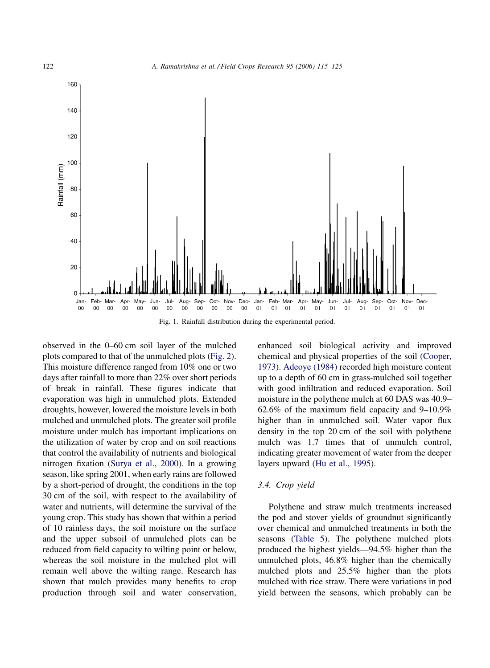<span id="page-7-0"></span>

Fig. 1. Rainfall distribution during the experimental period.

observed in the 0–60 cm soil layer of the mulched plots compared to that of the unmulched plots ([Fig. 2\)](#page-8-0). This moisture difference ranged from 10% one or two days after rainfall to more than 22% over short periods of break in rainfall. These figures indicate that evaporation was high in unmulched plots. Extended droughts, however, lowered the moisture levels in both mulched and unmulched plots. The greater soil profile moisture under mulch has important implications on the utilization of water by crop and on soil reactions that control the availability of nutrients and biological nitrogen fixation [\(Surya et al., 2000](#page-10-0)). In a growing season, like spring 2001, when early rains are followed by a short-period of drought, the conditions in the top 30 cm of the soil, with respect to the availability of water and nutrients, will determine the survival of the young crop. This study has shown that within a period of 10 rainless days, the soil moisture on the surface and the upper subsoil of unmulched plots can be reduced from field capacity to wilting point or below, whereas the soil moisture in the mulched plot will remain well above the wilting range. Research has shown that mulch provides many benefits to crop production through soil and water conservation,

enhanced soil biological activity and improved chemical and physical properties of the soil [\(Cooper,](#page-10-0) [1973](#page-10-0)). [Adeoye \(1984\)](#page-9-0) recorded high moisture content up to a depth of 60 cm in grass-mulched soil together with good infiltration and reduced evaporation. Soil moisture in the polythene mulch at 60 DAS was 40.9– 62.6% of the maximum field capacity and 9–10.9% higher than in unmulched soil. Water vapor flux density in the top 20 cm of the soil with polythene mulch was 1.7 times that of unmulch control, indicating greater movement of water from the deeper layers upward [\(Hu et al., 1995\)](#page-10-0).

#### 3.4. Crop yield

Polythene and straw mulch treatments increased the pod and stover yields of groundnut significantly over chemical and unmulched treatments in both the seasons ([Table 5\)](#page-8-0). The polythene mulched plots produced the highest yields—94.5% higher than the unmulched plots, 46.8% higher than the chemically mulched plots and 25.5% higher than the plots mulched with rice straw. There were variations in pod yield between the seasons, which probably can be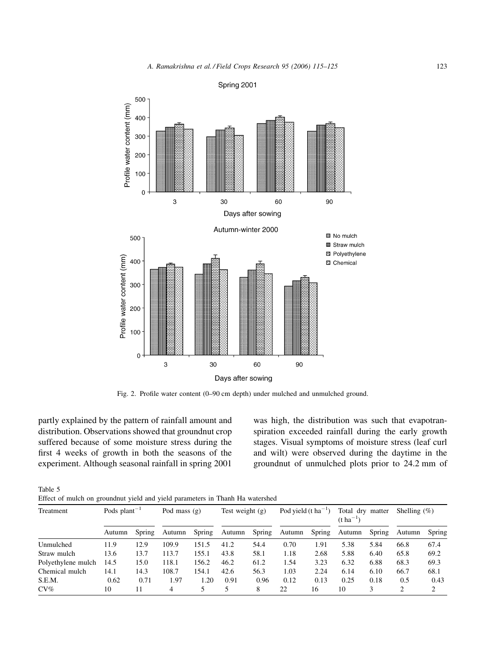<span id="page-8-0"></span>

Fig. 2. Profile water content (0–90 cm depth) under mulched and unmulched ground.

partly explained by the pattern of rainfall amount and distribution. Observations showed that groundnut crop suffered because of some moisture stress during the first 4 weeks of growth in both the seasons of the experiment. Although seasonal rainfall in spring 2001

was high, the distribution was such that evapotranspiration exceeded rainfall during the early growth stages. Visual symptoms of moisture stress (leaf curl and wilt) were observed during the daytime in the groundnut of unmulched plots prior to 24.2 mm of

| Table 5                                                                        |  |  |
|--------------------------------------------------------------------------------|--|--|
| Effect of mulch on ground nut yield and yield parameters in Thanh Ha watershed |  |  |

| Treatment          | Pods $plan-1$ |        | Pod mass $(g)$ |        | Test weight $(g)$ |        | Pod yield $(t \text{ ha}^{-1})$ |        | Total dry matter<br>$(t \text{ ha}^{-1})$ |        | Shelling $(\% )$ |        |
|--------------------|---------------|--------|----------------|--------|-------------------|--------|---------------------------------|--------|-------------------------------------------|--------|------------------|--------|
|                    | Autumn        | Spring | Autumn         | Spring | Autumn            | Spring | Autumn                          | Spring | Autumn                                    | Spring | Autumn           | Spring |
| Unmulched          | 11.9          | 12.9   | 109.9          | 151.5  | 41.2              | 54.4   | 0.70                            | 1.91   | 5.38                                      | 5.84   | 66.8             | 67.4   |
| Straw mulch        | 13.6          | 13.7   | 113.7          | 155.1  | 43.8              | 58.1   | 1.18                            | 2.68   | 5.88                                      | 6.40   | 65.8             | 69.2   |
| Polyethylene mulch | 14.5          | 15.0   | 118.1          | 156.2  | 46.2              | 61.2   | 1.54                            | 3.23   | 6.32                                      | 6.88   | 68.3             | 69.3   |
| Chemical mulch     | 14.1          | 14.3   | 108.7          | 154.1  | 42.6              | 56.3   | 1.03                            | 2.24   | 6.14                                      | 6.10   | 66.7             | 68.1   |
| S.E.M.             | 0.62          | 0.71   | 1.97           | 1.20   | 0.91              | 0.96   | 0.12                            | 0.13   | 0.25                                      | 0.18   | 0.5              | 0.43   |
| $CV\%$             | 10            | 11     | 4              |        | 5                 | 8      | 22                              | 16     | 10                                        |        | 2                |        |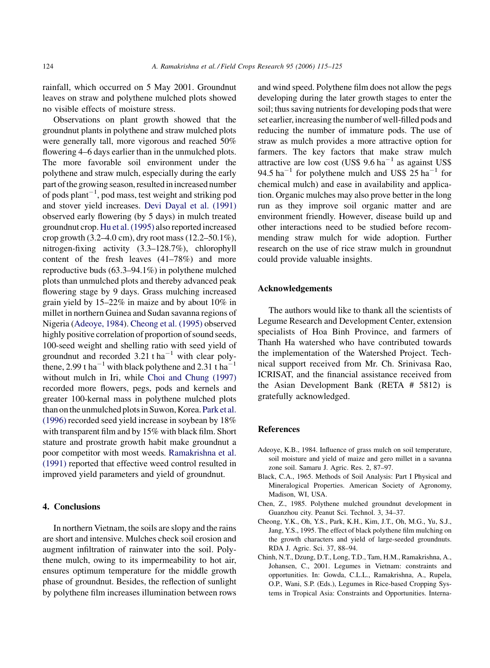<span id="page-9-0"></span>rainfall, which occurred on 5 May 2001. Groundnut leaves on straw and polythene mulched plots showed no visible effects of moisture stress.

Observations on plant growth showed that the groundnut plants in polythene and straw mulched plots were generally tall, more vigorous and reached 50% flowering 4–6 days earlier than in the unmulched plots. The more favorable soil environment under the polythene and straw mulch, especially during the early part of the growing season, resulted in increased number of pods  $plant^{-1}$ , pod mass, test weight and striking pod and stover yield increases. [Devi Dayal et al. \(1991\)](#page-10-0) observed early flowering (by 5 days) in mulch treated groundnut crop. [Hu et al. \(1995\)](#page-10-0) also reported increased crop growth (3.2–4.0 cm), dry root mass (12.2–50.1%), nitrogen-fixing activity (3.3–128.7%), chlorophyll content of the fresh leaves (41–78%) and more reproductive buds (63.3–94.1%) in polythene mulched plots than unmulched plots and thereby advanced peak flowering stage by 9 days. Grass mulching increased grain yield by 15–22% in maize and by about 10% in millet in northern Guinea and Sudan savanna regions of Nigeria (Adeoye, 1984). Cheong et al. (1995) observed highly positive correlation of proportion of sound seeds, 100-seed weight and shelling ratio with seed yield of groundnut and recorded  $3.21$  t ha<sup>-1</sup> with clear polythene, 2.99 t ha<sup>-1</sup> with black polythene and 2.31 t ha<sup>-1</sup> without mulch in Iri, while [Choi and Chung \(1997\)](#page-10-0) recorded more flowers, pegs, pods and kernels and greater 100-kernal mass in polythene mulched plots than on the unmulched plots in Suwon, Korea. [Park et al.](#page-10-0) [\(1996\)](#page-10-0) recorded seed yield increase in soybean by 18% with transparent film and by 15% with black film. Short stature and prostrate growth habit make groundnut a poor competitor with most weeds. [Ramakrishna et al.](#page-10-0) [\(1991\)](#page-10-0) reported that effective weed control resulted in improved yield parameters and yield of groundnut.

## 4. Conclusions

In northern Vietnam, the soils are slopy and the rains are short and intensive. Mulches check soil erosion and augment infiltration of rainwater into the soil. Polythene mulch, owing to its impermeability to hot air, ensures optimum temperature for the middle growth phase of groundnut. Besides, the reflection of sunlight by polythene film increases illumination between rows

and wind speed. Polythene film does not allow the pegs developing during the later growth stages to enter the soil; thus saving nutrients for developing pods that were set earlier, increasing the number of well-filled pods and reducing the number of immature pods. The use of straw as mulch provides a more attractive option for farmers. The key factors that make straw mulch attractive are low cost (US\$  $9.6$  ha<sup>-1</sup> as against US\$ 94.5 ha<sup>-1</sup> for polythene mulch and US\$ 25 ha<sup>-1</sup> for chemical mulch) and ease in availability and application. Organic mulches may also prove better in the long run as they improve soil organic matter and are environment friendly. However, disease build up and other interactions need to be studied before recommending straw mulch for wide adoption. Further research on the use of rice straw mulch in groundnut could provide valuable insights.

# Acknowledgements

The authors would like to thank all the scientists of Legume Research and Development Center, extension specialists of Hoa Binh Province, and farmers of Thanh Ha watershed who have contributed towards the implementation of the Watershed Project. Technical support received from Mr. Ch. Srinivasa Rao, ICRISAT, and the financial assistance received from the Asian Development Bank (RETA # 5812) is gratefully acknowledged.

#### References

- Adeoye, K.B., 1984. Influence of grass mulch on soil temperature, soil moisture and yield of maize and gero millet in a savanna zone soil. Samaru J. Agric. Res. 2, 87–97.
- Black, C.A., 1965. Methods of Soil Analysis: Part I Physical and Mineralogical Properties. American Society of Agronomy, Madison, WI, USA.
- Chen, Z., 1985. Polythene mulched groundnut development in Guanzhou city. Peanut Sci. Technol. 3, 34–37.
- Cheong, Y.K., Oh, Y.S., Park, K.H., Kim, J.T., Oh, M.G., Yu, S.J., Jang, Y.S., 1995. The effect of black polythene film mulching on the growth characters and yield of large-seeded groundnuts. RDA J. Agric. Sci. 37, 88–94.
- Chinh, N.T., Dzung, D.T., Long, T.D., Tam, H.M., Ramakrishna, A., Johansen, C., 2001. Legumes in Vietnam: constraints and opportunities. In: Gowda, C.L.L., Ramakrishna, A., Rupela, O.P., Wani, S.P. (Eds.), Legumes in Rice-based Cropping Systems in Tropical Asia: Constraints and Opportunities. Interna-